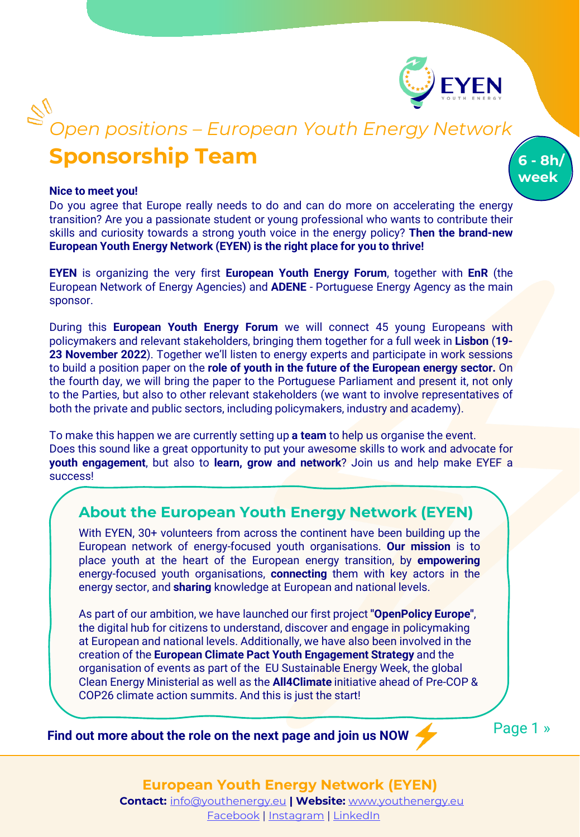

**6 - 8h/ week**

# **Sponsorship Team** *Open positions – European Youth Energy Network*

#### **Nice to meet you!**

Do you agree that Europe really needs to do and can do more on accelerating the energy transition? Are you a passionate student or young professional who wants to contribute their skills and curiosity towards a strong youth voice in the energy policy? **Then the brand-new European Youth Energy Network (EYEN) is the right place for you to thrive!**

**EYEN** is organizing the very first **European Youth Energy Forum**, together with **EnR** (the European Network of Energy Agencies) and **ADENE** - Portuguese Energy Agency as the main sponsor.

During this **European Youth Energy Forum** we will connect 45 young Europeans with policymakers and relevant stakeholders, bringing them together for a full week in **Lisbon** (**19- 23 November 2022**). Together we'll listen to energy experts and participate in work sessions to build a position paper on the **role of youth in the future of the European energy sector.** On the fourth day, we will bring the paper to the Portuguese Parliament and present it, not only to the Parties, but also to other relevant stakeholders (we want to involve representatives of both the private and public sectors, including policymakers, industry and academy).

To make this happen we are currently setting up **a team** to help us organise the event. Does this sound like a great opportunity to put your awesome skills to work and advocate for **youth engagement**, but also to **learn, grow and network**? Join us and help make EYEF a success!

#### **About the European Youth Energy Network (EYEN)**

With EYEN, 30+ volunteers from across the continent have been building up the European network of energy-focused youth organisations. **Our mission** is to place youth at the heart of the European energy transition, by **empowering** energy-focused youth organisations, **connecting** them with key actors in the energy sector, and **sharing** knowledge at European and national levels.

As part of our ambition, we have launched our first project **"OpenPolicy Europe"**, the digital hub for citizens to understand, discover and engage in policymaking at European and national levels. Additionally, we have also been involved in the creation of the **European Climate Pact Youth Engagement Strategy** and the organisation of events as part of the EU Sustainable Energy Week, the global Clean Energy Ministerial as well as the **All4Climate** initiative ahead of Pre-COP & COP26 climate action summits. And this is just the start!

**Find out more about the role on the next page and join us NOW** 

Page 1 »

**European Youth Energy Network (EYEN) Contact:** [info@youthenergy.eu](mailto:info@youthenergy.eu) **| Website:** [www.youthenergy.eu](http://www.youthenergy.eu/)

[Facebook](https://www.facebook.com/EYENYouthEnergy) | [Instagram](https://www.instagram.com/eyen_youthenergy/) | [LinkedIn](https://www.linkedin.com/company/eyenyouthenergy/)